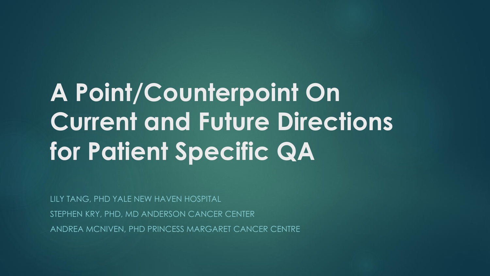# **A Point/Counterpoint On Current and Future Directions for Patient Specific QA**

LILY TANG, PHD YALE NEW HAVEN HOSPITAL

STEPHEN KRY, PHD, MD ANDERSON CANCER CENTER

ANDREA MCNIVEN, PHD PRINCESS MARGARET CANCER CENTRE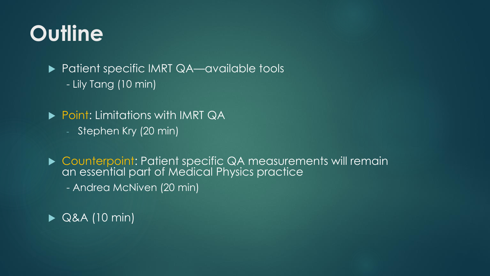### **Outline**

▶ Patient specific IMRT QA—available tools - Lily Tang (10 min)

**Point: Limitations with IMRT QA** 

- Stephen Kry (20 min)

▶ Counterpoint: Patient specific QA measurements will remain an essential part of Medical Physics practice

- Andrea McNiven (20 min)

 $\triangleright$  Q&A (10 min)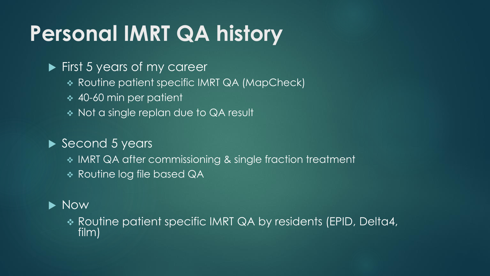## **Personal IMRT QA history**

#### **First 5 years of my career**

- ❖ Routine patient specific IMRT QA (MapCheck)
- ❖ 40-60 min per patient
- ❖ Not a single replan due to QA result

#### Second 5 years

- ❖ IMRT QA after commissioning & single fraction treatment
- ❖ Routine log file based QA

#### $\blacktriangleright$  Now

❖ Routine patient specific IMRT QA by residents (EPID, Delta4, film)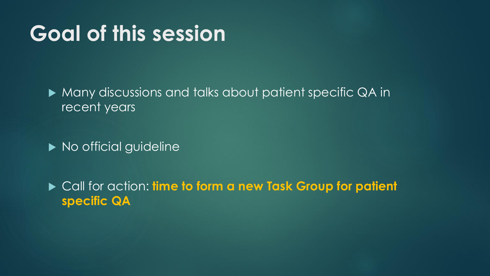#### **Goal of this session**

**Many discussions and talks about patient specific QA in** recent years

 $\blacktriangleright$  No official guideline

▶ Call for action: **time to form a new Task Group for patient specific QA**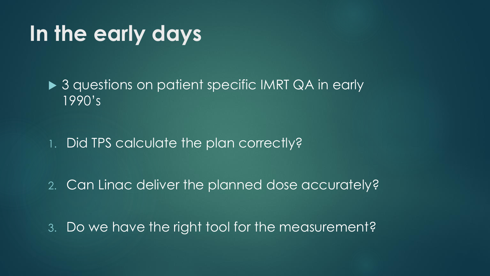#### **In the early days**

▶ 3 questions on patient specific IMRT QA in early 1990's

1. Did TPS calculate the plan correctly?

2. Can Linac deliver the planned dose accurately?

3. Do we have the right tool for the measurement?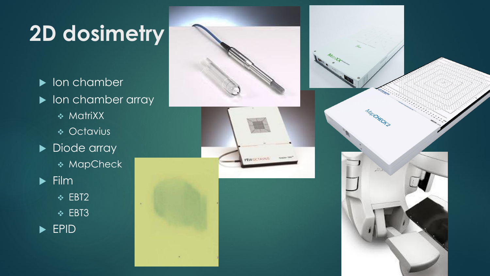## **2D dosimetry**

**IDED** lon chamber lon chamber array ❖ MatriXX ❖ Octavius Diode array ❖ MapCheck  $\blacktriangleright$  Film ❖ EBT2  $\lambda$ ❖ EBT3 ▶ EPID



**FEW OCTAVITY** 

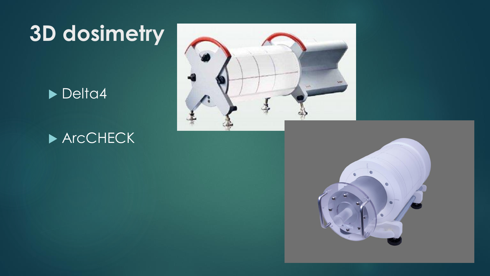### **3D dosimetry**

#### Delta4

#### ▶ ArcCHECK



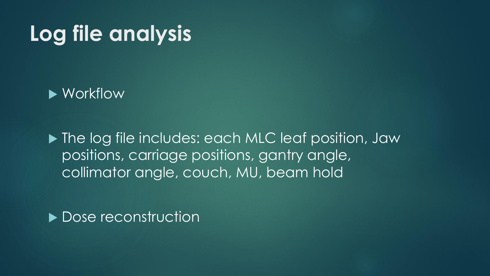### **Log file analysis**

#### ▶ Workflow

▶ The log file includes: each MLC leaf position, Jaw positions, carriage positions, gantry angle, collimator angle, couch, MU, beam hold

Dose reconstruction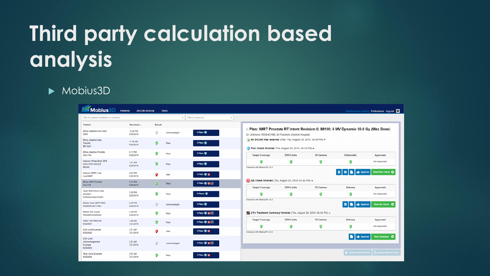# **Third party calculation based analysis**

#### $\blacktriangleright$  Mobius3D

| <b>Mobius3D</b>                                           | Patients<br><b>DICOM Activity</b> |               | <b>Tools</b> |                    |                                                                                                                                              |                                                                                                                             |               |                                               | Administrator (admin) · Preferences · Log out · |  |
|-----------------------------------------------------------|-----------------------------------|---------------|--------------|--------------------|----------------------------------------------------------------------------------------------------------------------------------------------|-----------------------------------------------------------------------------------------------------------------------------|---------------|-----------------------------------------------|-------------------------------------------------|--|
| Filter by patient, institution or machine                 |                                   |               |              | Filter by approval | $\overline{\tau}$                                                                                                                            |                                                                                                                             |               |                                               |                                                 |  |
| Patient                                                   | Received                          | <b>Result</b> |              |                    |                                                                                                                                              |                                                                                                                             |               |                                               |                                                 |  |
| Ethos Adaptive DVH Alert<br>S003                          | 12:28 PM<br>8/30/2019             | s             | Acknowledged | 1 Plan: 1          | ■ Plan: IMRT Prostate RT Intent Revision 0, IM108; 6 MV Dynamic 59.6 Gy (Max Dose)<br>Dr. Unknown; RDSMCH98, 20 Fractions (Central Hospital) |                                                                                                                             |               |                                               |                                                 |  |
| Ethos Adaptive Data<br>Transfer<br>BB-Test1               | 11:16 AM<br>8/30/2019             | V             | Pass         | 1 Plan: 1          |                                                                                                                                              | All DICOM files received (Plan: Thu, August 29, 2019, 04:09 PM) v<br>Plan Check finished (Thu, August 29, 2019, 04:12 PM) & |               |                                               |                                                 |  |
| Ethos Adaptive Prostate<br><b>VAL1104</b>                 | 6:11 PM<br>8/29/2019              | Ø             | Pass         | 1 Plan: 9          | <b>Target Coverage</b>                                                                                                                       | <b>DVH Limits</b>                                                                                                           | 3D Gamma      | <b>Deliverable</b>                            | Approvals                                       |  |
| Halcyon Whole Brain DFB<br><b>HALCYON WHOLE</b><br>BRAIN  | 7:01 PM<br>8/29/2019              | v             | Pass         | 1 Plan: 1          | V<br>Checked with Mobius 3D v3.0                                                                                                             | Ø                                                                                                                           | V             | V                                             | (No Approvals)                                  |  |
| <b>Halcyon SBRT Liver</b><br><b>LiverSBRT</b>             | 6:02 PM<br>8/29/2019              | ø             | Alert        | 1 Plan: 0 @        |                                                                                                                                              |                                                                                                                             |               | <b>B C B d</b> Approve                        | View Plan Check ©                               |  |
| <b>Ethos IGRT Prostate</b><br><b>VAL1115</b>              | 5:37 PM<br>8/29/2019              | ø             | Pass         | 1 Plan: 9 @ 23     | Q QA Check finished (Thu, August 29, 2019, 04:42 PM) A                                                                                       |                                                                                                                             |               |                                               |                                                 |  |
| Open field virtual water<br>phantom<br>QAMobiusOpenFields | 2:50 PM<br>8/29/2019              | ♥             | Pass         | 5 Plans:           | <b>Target Coverage</b><br>Ø                                                                                                                  | <b>DVH Limits</b><br>Ø                                                                                                      | 3D Gamma<br>Ø | <b>Delivery</b><br>V                          | Approvals<br>(No Approvals)                     |  |
| Elekta Head CBCT-SRO<br>SN26426-a81110e3                  | 2:45 PM<br>8/29/2019              | ø             | Acknowledged | 1 Plan: 9          | Checked with MobiusFX v3.0                                                                                                                   |                                                                                                                             |               | <b>O</b>   <b>B</b>   dg Approve              | View QA Check ©                                 |  |
| Elekta With Couch<br>SN00000-ec6352bd                     | 2:38 PM<br>8/29/2019              | ᢦ             | Pass         | 1 Plan: 0 @        | 2 Fx Treatment Summary finished (Thu, August 29, 2019, 04:54 PM) &                                                                           |                                                                                                                             |               |                                               |                                                 |  |
| <b>VMAT with RMS Diff</b><br>M3D0001                      | 3:08 AM<br>7/21/2016              | V             | Pass         | 1 Plan: 9 @ 23     | <b>Target Coverage</b>                                                                                                                       | <b>DVH Limits</b>                                                                                                           | 3D Gamma      | Delivery                                      | Approvals                                       |  |
| <b>DVH Limit Example</b><br>M3D0002                       | 2:51 AM<br>7/21/2016              | s             | Alert        | 1 Plan: 0 6        | V<br>Checked with MobiusFX v3.0                                                                                                              | v                                                                                                                           | ☑             | ☑                                             | (No Approvals)                                  |  |
| <b>DVH Limit</b><br>Acknowledgement<br>Example<br>M3D0003 | 2:23 AM<br>7/21/2016              | s             | Acknowledged | 1 Plan: 9 @ 2      |                                                                                                                                              |                                                                                                                             |               | <b>Approve</b>                                | View Summary ©                                  |  |
| Stray Voxel Example<br>M3D0004                            | 2:07 AM<br>7/21/2016              | ᢦ             | Pass         | 1 Plan: 9 @        |                                                                                                                                              |                                                                                                                             |               | Delete Selected Plans   2 Merge Selected Plan |                                                 |  |